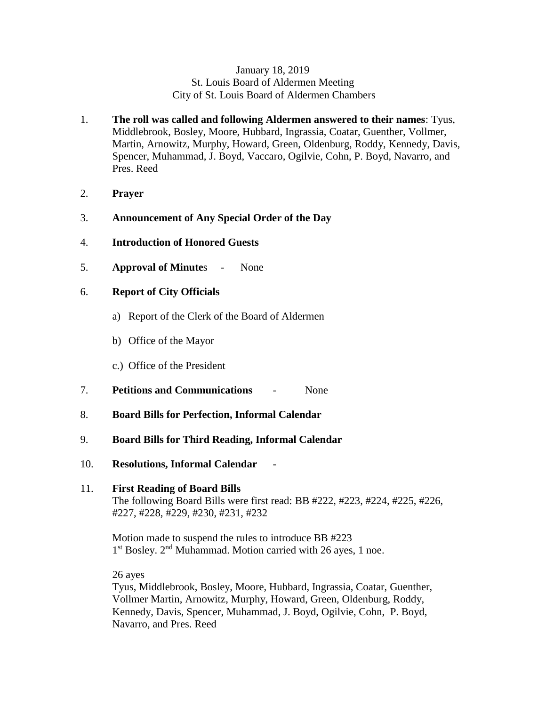### January 18, 2019 St. Louis Board of Aldermen Meeting City of St. Louis Board of Aldermen Chambers

- 1. **The roll was called and following Aldermen answered to their names**: Tyus, Middlebrook, Bosley, Moore, Hubbard, Ingrassia, Coatar, Guenther, Vollmer, Martin, Arnowitz, Murphy, Howard, Green, Oldenburg, Roddy, Kennedy, Davis, Spencer, Muhammad, J. Boyd, Vaccaro, Ogilvie, Cohn, P. Boyd, Navarro, and Pres. Reed
- 2. **Prayer**
- 3. **Announcement of Any Special Order of the Day**
- 4. **Introduction of Honored Guests**
- 5. **Approval of Minute**s None

## 6. **Report of City Officials**

- a) Report of the Clerk of the Board of Aldermen
- b) Office of the Mayor
- c.) Office of the President
- 7. **Petitions and Communications** None
- 8. **Board Bills for Perfection, Informal Calendar**
- 9. **Board Bills for Third Reading, Informal Calendar**
- 10. **Resolutions, Informal Calendar**

## 11. **First Reading of Board Bills** The following Board Bills were first read: BB #222, #223, #224, #225, #226, #227, #228, #229, #230, #231, #232

Motion made to suspend the rules to introduce BB #223 1<sup>st</sup> Bosley. 2<sup>nd</sup> Muhammad. Motion carried with 26 ayes, 1 noe.

26 ayes

Tyus, Middlebrook, Bosley, Moore, Hubbard, Ingrassia, Coatar, Guenther, Vollmer Martin, Arnowitz, Murphy, Howard, Green, Oldenburg, Roddy, Kennedy, Davis, Spencer, Muhammad, J. Boyd, Ogilvie, Cohn, P. Boyd, Navarro, and Pres. Reed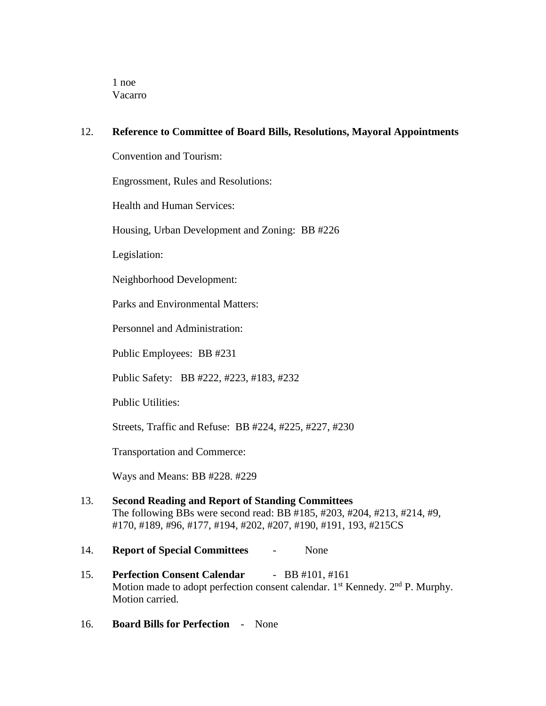1 noe Vacarro

## 12. **Reference to Committee of Board Bills, Resolutions, Mayoral Appointments**

Convention and Tourism:

Engrossment, Rules and Resolutions:

Health and Human Services:

Housing, Urban Development and Zoning: BB #226

Legislation:

Neighborhood Development:

Parks and Environmental Matters:

Personnel and Administration:

Public Employees: BB #231

Public Safety: BB #222, #223, #183, #232

Public Utilities:

Streets, Traffic and Refuse: BB #224, #225, #227, #230

Transportation and Commerce:

Ways and Means: BB #228. #229

13. **Second Reading and Report of Standing Committees** The following BBs were second read: BB #185, #203, #204, #213, #214, #9, #170, #189, #96, #177, #194, #202, #207, #190, #191, 193, #215CS

### 14. **Report of Special Committees** - None

- 15. **Perfection Consent Calendar** BB #101, #161 Motion made to adopt perfection consent calendar.  $1<sup>st</sup>$  Kennedy.  $2<sup>nd</sup>$  P. Murphy. Motion carried.
- 16. **Board Bills for Perfection** None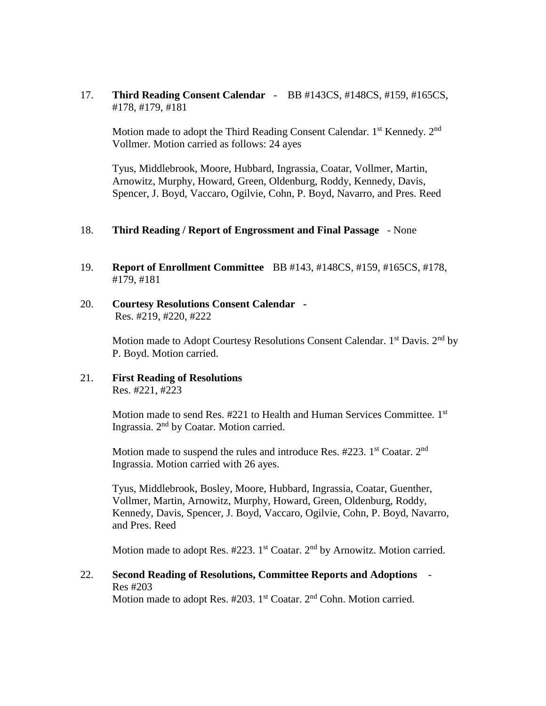17. **Third Reading Consent Calendar** - BB #143CS, #148CS, #159, #165CS, #178, #179, #181

Motion made to adopt the Third Reading Consent Calendar. 1<sup>st</sup> Kennedy. 2<sup>nd</sup> Vollmer. Motion carried as follows: 24 ayes

Tyus, Middlebrook, Moore, Hubbard, Ingrassia, Coatar, Vollmer, Martin, Arnowitz, Murphy, Howard, Green, Oldenburg, Roddy, Kennedy, Davis, Spencer, J. Boyd, Vaccaro, Ogilvie, Cohn, P. Boyd, Navarro, and Pres. Reed

#### 18. **Third Reading / Report of Engrossment and Final Passage** - None

- 19. **Report of Enrollment Committee** BB #143, #148CS, #159, #165CS, #178, #179, #181
- 20. **Courtesy Resolutions Consent Calendar**  Res. #219, #220, #222

Motion made to Adopt Courtesy Resolutions Consent Calendar.  $1<sup>st</sup>$  Davis.  $2<sup>nd</sup>$  by P. Boyd. Motion carried.

21. **First Reading of Resolutions** Res. #221, #223

> Motion made to send Res. #221 to Health and Human Services Committee. 1st Ingrassia. 2nd by Coatar. Motion carried.

Motion made to suspend the rules and introduce Res.  $\#223$ . 1<sup>st</sup> Coatar. 2<sup>nd</sup> Ingrassia. Motion carried with 26 ayes.

Tyus, Middlebrook, Bosley, Moore, Hubbard, Ingrassia, Coatar, Guenther, Vollmer, Martin, Arnowitz, Murphy, Howard, Green, Oldenburg, Roddy, Kennedy, Davis, Spencer, J. Boyd, Vaccaro, Ogilvie, Cohn, P. Boyd, Navarro, and Pres. Reed

Motion made to adopt Res. #223. 1<sup>st</sup> Coatar. 2<sup>nd</sup> by Arnowitz. Motion carried.

22. **Second Reading of Resolutions, Committee Reports and Adoptions** - Res #203

Motion made to adopt Res.  $\#203$ . 1<sup>st</sup> Coatar.  $2<sup>nd</sup>$  Cohn. Motion carried.